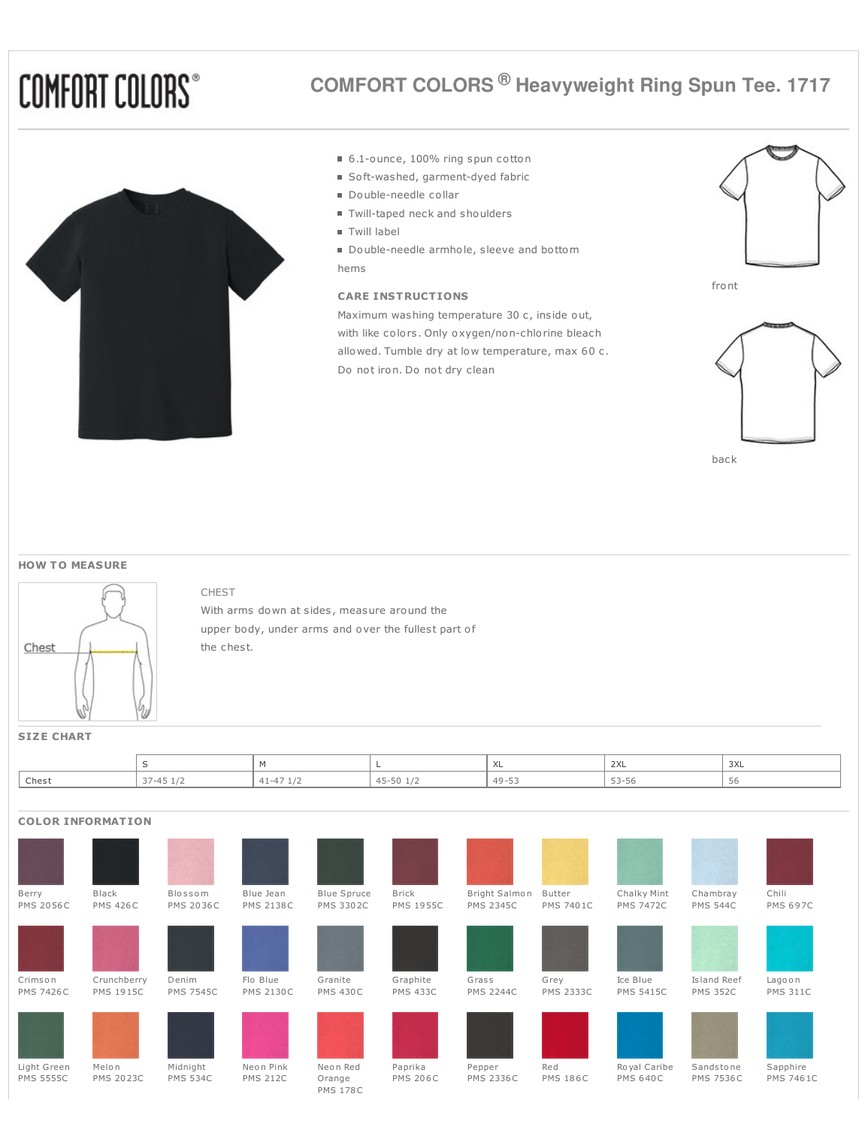# **COMFORT COLORS®**



# **COMFORT COLORS ® Heavyweight Ring Spun Tee. 1717**

- 6.1-ounce, 100% ring spun cotton
- Soft-washed, garment-dyed fabric
- Double-needle collar
- Twill-taped neck and shoulders
- Twill label
- Double-needle armhole, sleeve and bottom hems

# **CARE INSTRUCTIONS**

Maximum washing temperature 30 c, inside out, with like colors. Only oxygen/non-chlorine bleach allowed. Tumble dry at low temperature, max 60 c. Do not iron. Do not dry clean







back

#### **HOW T O MEASURE**



### CHEST

With arms down at sides, measure around the upper body, under arms and over the fullest part of the chest.

## **SIZE CHART**

|       |                                                               |                    |                 | $\lambda$<br>⌒⌒∟          | 2XL                    | $\sim$<br>つハレ |
|-------|---------------------------------------------------------------|--------------------|-----------------|---------------------------|------------------------|---------------|
| Chest | $\rightarrow$ / $\angle$ $\angle$ $\angle$ $\angle$<br>エコ・エノム | $-1$<br><b>114</b> | 45-50<br>r<br>◡ | $49 - 57$<br>--<br>$\sim$ | - -<br>$-1$<br>- - - - | - Ju          |

# **COLOR INFORMATION**

| Berry            | Black            | Blossom          | Blue Jean        | <b>Blue Spruce</b>        | <b>Brick</b>     | Bright Salmon    | Butter           | Chalky Mint      | Chambray         | Chili            |
|------------------|------------------|------------------|------------------|---------------------------|------------------|------------------|------------------|------------------|------------------|------------------|
| <b>PMS 2056C</b> | <b>PMS 426C</b>  | <b>PMS 2036C</b> | <b>PMS 2138C</b> | <b>PMS 3302C</b>          | <b>PMS 1955C</b> | <b>PMS 2345C</b> | <b>PMS 7401C</b> | <b>PMS 7472C</b> | <b>PMS 544C</b>  | <b>PMS 697C</b>  |
|                  |                  |                  |                  |                           |                  |                  |                  |                  |                  |                  |
| Crimson          | Crunchberry      | Denim            | Flo Blue         | Granite                   | Graphite         | Grass            | Grey             | Ice Blue         | Island Reef      | Lagoon           |
| <b>PMS 7426C</b> | <b>PMS 1915C</b> | <b>PMS 7545C</b> | <b>PMS 2130C</b> | <b>PMS 430C</b>           | <b>PMS 433C</b>  | <b>PMS 2244C</b> | <b>PMS 2333C</b> | <b>PMS 5415C</b> | <b>PMS 352C</b>  | <b>PMS 311C</b>  |
|                  |                  |                  |                  |                           |                  |                  |                  |                  |                  |                  |
| Light Green      | Melon            | Midnight         | Neon Pink        | Neon Red                  | Paprika          | Pepper           | Red              | Royal Caribe     | Sandstone        | Sapphire         |
| <b>PMS 5555C</b> | <b>PMS 2023C</b> | <b>PMS 534C</b>  | <b>PMS 212C</b>  | Orange<br><b>PMS 178C</b> | <b>PMS 206C</b>  | <b>PMS 2336C</b> | <b>PMS 186C</b>  | <b>PMS 640C</b>  | <b>PMS 7536C</b> | <b>PMS 7461C</b> |